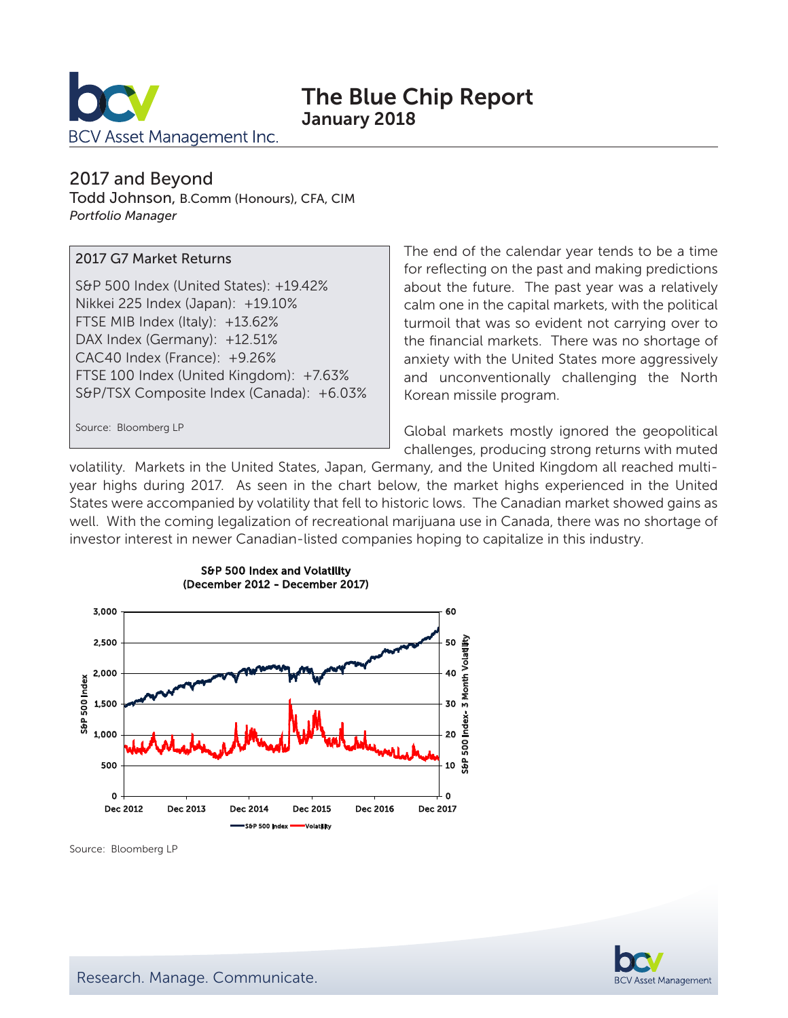

# The Blue Chip Report January 2018

#### 2017 and Beyond

Todd Johnson, B.Comm (Honours), CFA, CIM *Portfolio Manager*

#### 2017 G7 Market Returns

S&P 500 Index (United States): +19.42% Nikkei 225 Index (Japan): +19.10% FTSE MIB Index (Italy): +13.62% DAX Index (Germany): +12.51% CAC40 Index (France): +9.26% FTSE 100 Index (United Kingdom): +7.63% S&P/TSX Composite Index (Canada): +6.03%

Source: Bloomberg LP

The end of the calendar year tends to be a time for reflecting on the past and making predictions about the future. The past year was a relatively calm one in the capital markets, with the political turmoil that was so evident not carrying over to the financial markets. There was no shortage of anxiety with the United States more aggressively and unconventionally challenging the North Korean missile program.

Global markets mostly ignored the geopolitical challenges, producing strong returns with muted

volatility. Markets in the United States, Japan, Germany, and the United Kingdom all reached multiyear highs during 2017. As seen in the chart below, the market highs experienced in the United States were accompanied by volatility that fell to historic lows. The Canadian market showed gains as well. With the coming legalization of recreational marijuana use in Canada, there was no shortage of investor interest in newer Canadian-listed companies hoping to capitalize in this industry.





Source: Bloomberg LP

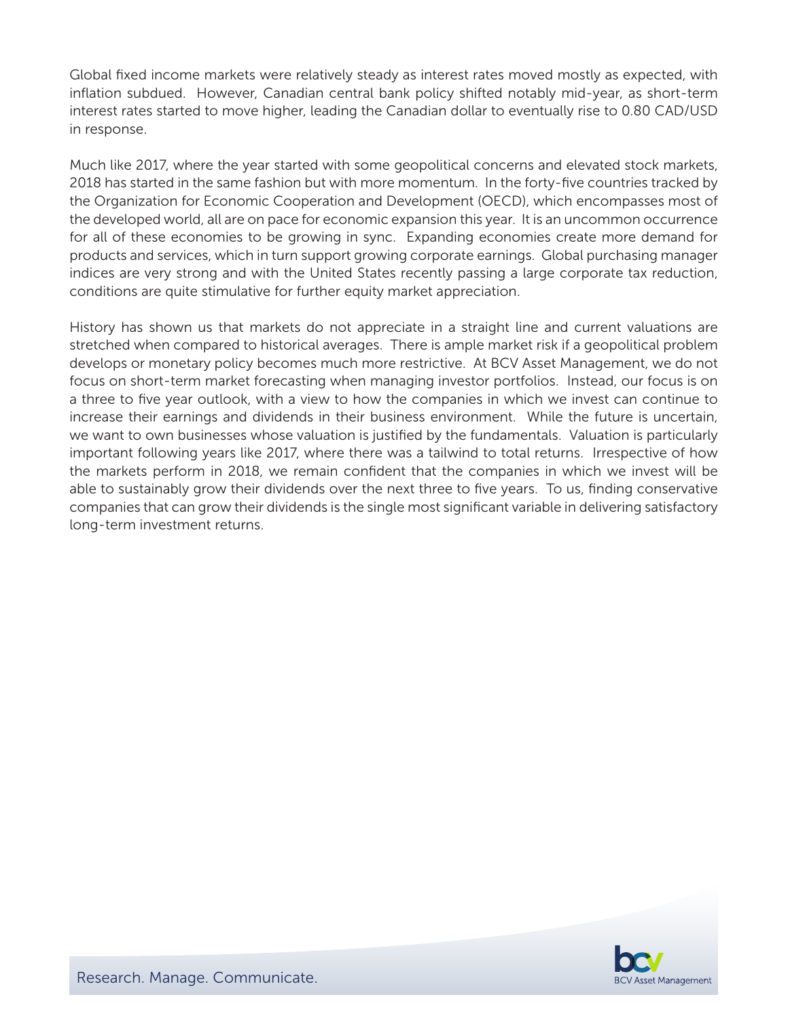Global fixed income markets were relatively steady as interest rates moved mostly as expected, with inflation subdued. However, Canadian central bank policy shifted notably mid-year, as short-term interest rates started to move higher, leading the Canadian dollar to eventually rise to 0.80 CAD/USD in response.

Much like 2017, where the year started with some geopolitical concerns and elevated stock markets, 2018 has started in the same fashion but with more momentum. In the forty-five countries tracked by the Organization for Economic Cooperation and Development (OECD), which encompasses most of the developed world, all are on pace for economic expansion this year. It is an uncommon occurrence for all of these economies to be growing in sync. Expanding economies create more demand for products and services, which in turn support growing corporate earnings. Global purchasing manager indices are very strong and with the United States recently passing a large corporate tax reduction, conditions are quite stimulative for further equity market appreciation.

History has shown us that markets do not appreciate in a straight line and current valuations are stretched when compared to historical averages. There is ample market risk if a geopolitical problem develops or monetary policy becomes much more restrictive. At BCV Asset Management, we do not focus on short-term market forecasting when managing investor portfolios. Instead, our focus is on a three to five year outlook, with a view to how the companies in which we invest can continue to increase their earnings and dividends in their business environment. While the future is uncertain, we want to own businesses whose valuation is justified by the fundamentals. Valuation is particularly important following years like 2017, where there was a tailwind to total returns. Irrespective of how the markets perform in 2018, we remain confident that the companies in which we invest will be able to sustainably grow their dividends over the next three to five years. To us, finding conservative companies that can grow their dividends is the single most significant variable in delivering satisfactory long-term investment returns.

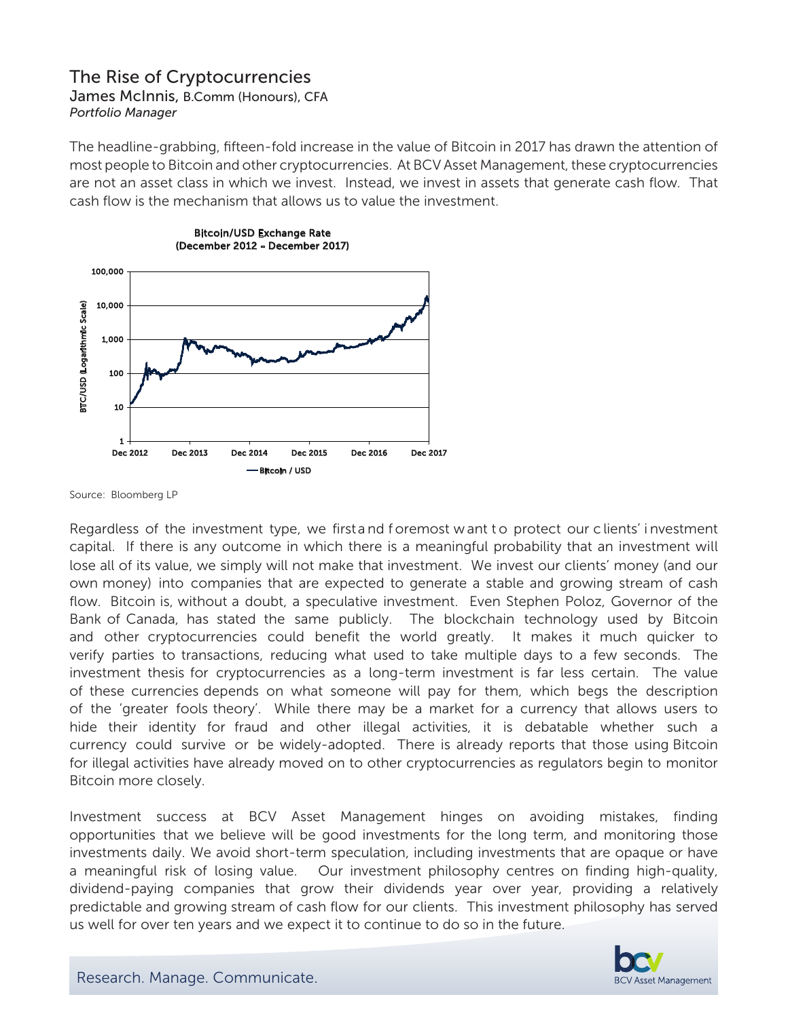## The Rise of Cryptocurrencies

James McInnis, B.Comm (Honours), CFA *Portfolio Manager*

The headline-grabbing, fifteen-fold increase in the value of Bitcoin in 2017 has drawn the attention of most people to Bitcoin and other cryptocurrencies. At BCV Asset Management, these cryptocurrencies are not an asset class in which we invest. Instead, we invest in assets that generate cash flow. That cash flow is the mechanism that allows us to value the investment.





Source: Bloomberg LP

Regardless of the investment type, we first and foremost w ant to protect our clients' investment capital. If there is any outcome in which there is a meaningful probability that an investment will lose all of its value, we simply will not make that investment. We invest our clients' money (and our own money) into companies that are expected to generate a stable and growing stream of cash flow. Bitcoin is, without a doubt, a speculative investment. Even Stephen Poloz, Governor of the Bank of Canada, has stated the same publicly. The blockchain technology used by Bitcoin and other cryptocurrencies could benefit the world greatly. It makes it much quicker to verify parties to transactions, reducing what used to take multiple days to a few seconds. The investment thesis for cryptocurrencies as a long-term investment is far less certain. The value of these currencies depends on what someone will pay for them, which begs the description of the 'greater fools theory'. While there may be a market for a currency that allows users to hide their identity for fraud and other illegal activities, it is debatable whether such a currency could survive or be widely-adopted. There is already reports that those using Bitcoin for illegal activities have already moved on to other cryptocurrencies as regulators begin to monitor Bitcoin more closely.

Investment success at BCV Asset Management hinges on avoiding mistakes, finding opportunities that we believe will be good investments for the long term, and monitoring those investments daily. We avoid short-term speculation, including investments that are opaque or have a meaningful risk of losing value. Our investment philosophy centres on finding high-quality, dividend-paying companies that grow their dividends year over year, providing a relatively predictable and growing stream of cash flow for our clients. This investment philosophy has served us well for over ten years and we expect it to continue to do so in the future.



Research. Manage. Communicate.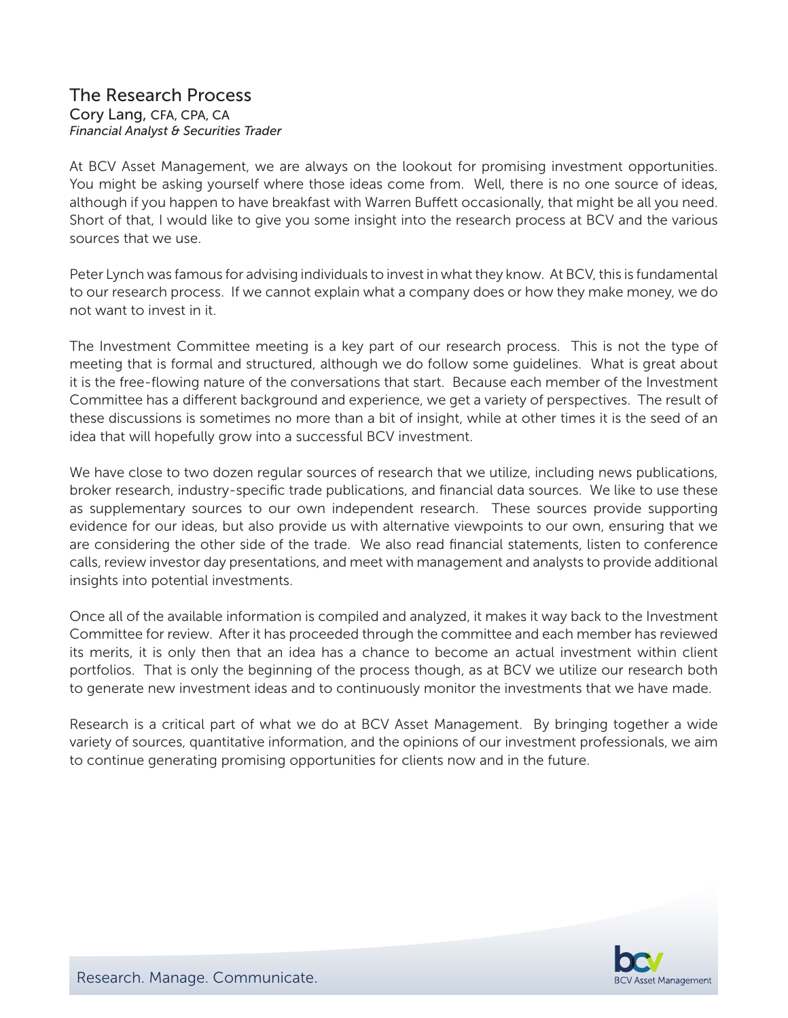#### The Research Process Cory Lang, CFA, CPA, CA *Financial Analyst & Securities Trader*

At BCV Asset Management, we are always on the lookout for promising investment opportunities. You might be asking yourself where those ideas come from. Well, there is no one source of ideas, although if you happen to have breakfast with Warren Buffett occasionally, that might be all you need. Short of that, I would like to give you some insight into the research process at BCV and the various sources that we use.

Peter Lynch was famous for advising individuals to invest in what they know. At BCV, this is fundamental to our research process. If we cannot explain what a company does or how they make money, we do not want to invest in it.

The Investment Committee meeting is a key part of our research process. This is not the type of meeting that is formal and structured, although we do follow some guidelines. What is great about it is the free-flowing nature of the conversations that start. Because each member of the Investment Committee has a different background and experience, we get a variety of perspectives. The result of these discussions is sometimes no more than a bit of insight, while at other times it is the seed of an idea that will hopefully grow into a successful BCV investment.

We have close to two dozen regular sources of research that we utilize, including news publications, broker research, industry-specific trade publications, and financial data sources. We like to use these as supplementary sources to our own independent research. These sources provide supporting evidence for our ideas, but also provide us with alternative viewpoints to our own, ensuring that we are considering the other side of the trade. We also read financial statements, listen to conference calls, review investor day presentations, and meet with management and analysts to provide additional insights into potential investments.

Once all of the available information is compiled and analyzed, it makes it way back to the Investment Committee for review. After it has proceeded through the committee and each member has reviewed its merits, it is only then that an idea has a chance to become an actual investment within client portfolios. That is only the beginning of the process though, as at BCV we utilize our research both to generate new investment ideas and to continuously monitor the investments that we have made.

Research is a critical part of what we do at BCV Asset Management. By bringing together a wide variety of sources, quantitative information, and the opinions of our investment professionals, we aim to continue generating promising opportunities for clients now and in the future.